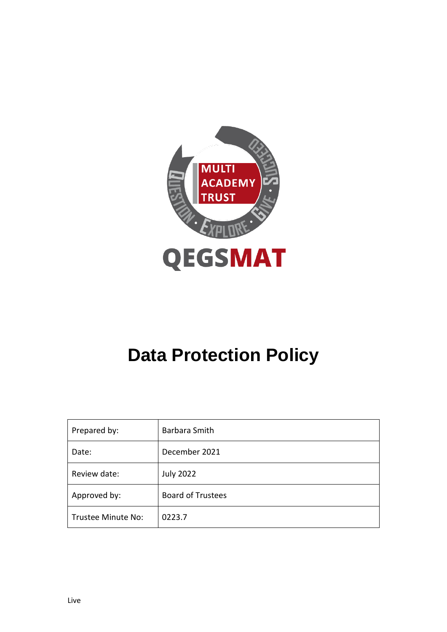

# **Data Protection Policy**

| Prepared by:       | Barbara Smith            |
|--------------------|--------------------------|
| Date:              | December 2021            |
| Review date:       | <b>July 2022</b>         |
| Approved by:       | <b>Board of Trustees</b> |
| Trustee Minute No: | 0223.7                   |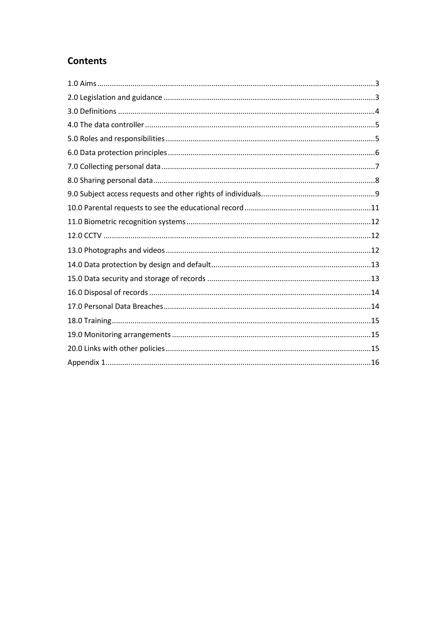# **Contents**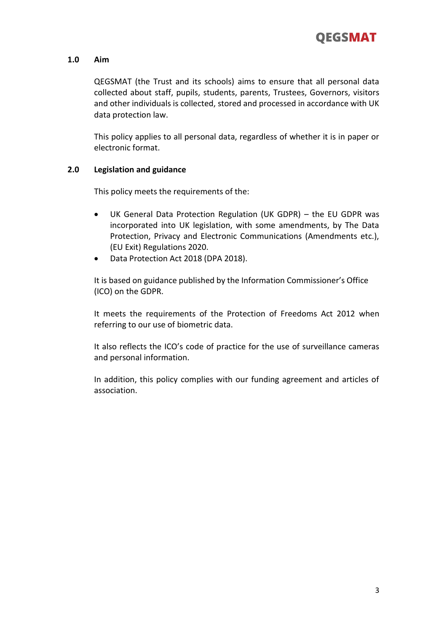

#### **1.0 Aim**

QEGSMAT (the Trust and its schools) aims to ensure that all personal data collected about staff, pupils, students, parents, Trustees, Governors, visitors and other individuals is collected, stored and processed in accordance with UK data protection law.

This policy applies to all personal data, regardless of whether it is in paper or electronic format.

#### **2.0 Legislation and guidance**

This policy meets the requirements of the:

- UK General Data Protection Regulation (UK GDPR) the EU GDPR was incorporated into UK legislation, with some amendments, by The Data Protection, Privacy and Electronic Communications (Amendments etc.), (EU Exit) Regulations 2020.
- Data Protection Act 2018 (DPA 2018).

It is based on guidance published by the Information Commissioner's Office (ICO) on the GDPR.

It meets the requirements of the Protection of Freedoms Act 2012 when referring to our use of biometric data.

It also reflects the ICO's code of practice for the use of surveillance cameras and personal information.

In addition, this policy complies with our funding agreement and articles of association.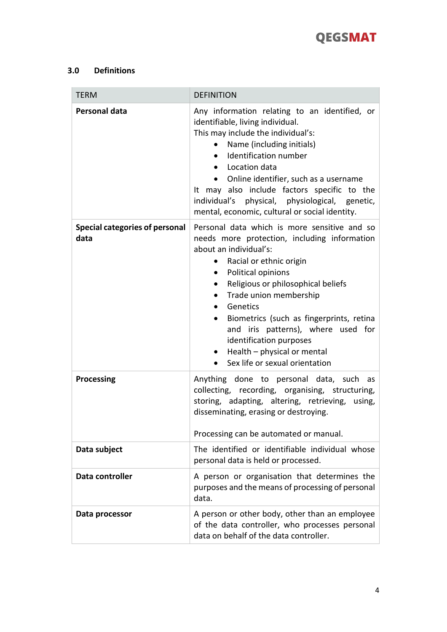

# **3.0 Definitions**

| <b>TERM</b>                                   | <b>DEFINITION</b>                                                                                                                                                                                                                                                                                                                                                                                                                                                                                              |
|-----------------------------------------------|----------------------------------------------------------------------------------------------------------------------------------------------------------------------------------------------------------------------------------------------------------------------------------------------------------------------------------------------------------------------------------------------------------------------------------------------------------------------------------------------------------------|
| Personal data                                 | Any information relating to an identified, or<br>identifiable, living individual.<br>This may include the individual's:<br>Name (including initials)<br>Identification number<br>$\bullet$<br>Location data<br>$\bullet$<br>Online identifier, such as a username<br>$\bullet$<br>It may also include factors specific to the<br>individual's physical, physiological, genetic,<br>mental, economic, cultural or social identity.                                                                              |
| <b>Special categories of personal</b><br>data | Personal data which is more sensitive and so<br>needs more protection, including information<br>about an individual's:<br>• Racial or ethnic origin<br>Political opinions<br>$\bullet$<br>Religious or philosophical beliefs<br>$\bullet$<br>Trade union membership<br>$\bullet$<br>Genetics<br>Biometrics (such as fingerprints, retina<br>$\bullet$<br>and iris patterns), where used for<br>identification purposes<br>$\bullet$ Health – physical or mental<br>Sex life or sexual orientation<br>$\bullet$ |
| Processing                                    | Anything done to personal data, such as<br>collecting, recording, organising, structuring,<br>storing, adapting, altering, retrieving, using,<br>disseminating, erasing or destroying.<br>Processing can be automated or manual.                                                                                                                                                                                                                                                                               |
| Data subject                                  | The identified or identifiable individual whose<br>personal data is held or processed.                                                                                                                                                                                                                                                                                                                                                                                                                         |
| Data controller                               | A person or organisation that determines the<br>purposes and the means of processing of personal<br>data.                                                                                                                                                                                                                                                                                                                                                                                                      |
| Data processor                                | A person or other body, other than an employee<br>of the data controller, who processes personal<br>data on behalf of the data controller.                                                                                                                                                                                                                                                                                                                                                                     |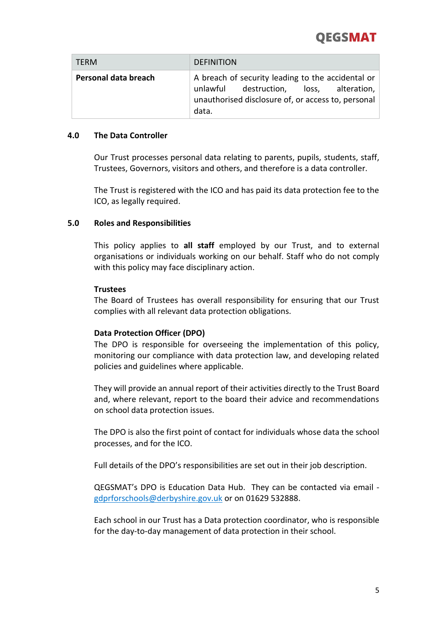# **OEGSMAT**

| <b>TERM</b>          | <b>DEFINITION</b>                                                                                                                                           |
|----------------------|-------------------------------------------------------------------------------------------------------------------------------------------------------------|
| Personal data breach | A breach of security leading to the accidental or<br>unlawful destruction, loss, alteration,<br>unauthorised disclosure of, or access to, personal<br>data. |

#### **4.0 The Data Controller**

Our Trust processes personal data relating to parents, pupils, students, staff, Trustees, Governors, visitors and others, and therefore is a data controller.

The Trust is registered with the ICO and has paid its data protection fee to the ICO, as legally required.

#### **5.0 Roles and Responsibilities**

This policy applies to **all staff** employed by our Trust, and to external organisations or individuals working on our behalf. Staff who do not comply with this policy may face disciplinary action.

#### **Trustees**

The Board of Trustees has overall responsibility for ensuring that our Trust complies with all relevant data protection obligations.

#### **Data Protection Officer (DPO)**

The DPO is responsible for overseeing the implementation of this policy, monitoring our compliance with data protection law, and developing related policies and guidelines where applicable.

They will provide an annual report of their activities directly to the Trust Board and, where relevant, report to the board their advice and recommendations on school data protection issues.

The DPO is also the first point of contact for individuals whose data the school processes, and for the ICO.

Full details of the DPO's responsibilities are set out in their job description.

QEGSMAT's DPO is Education Data Hub. They can be contacted via email [gdprforschools@derbyshire.gov.uk](mailto:gdprforschools@derbyshire.gov.uk) or on 01629 532888.

Each school in our Trust has a Data protection coordinator, who is responsible for the day-to-day management of data protection in their school.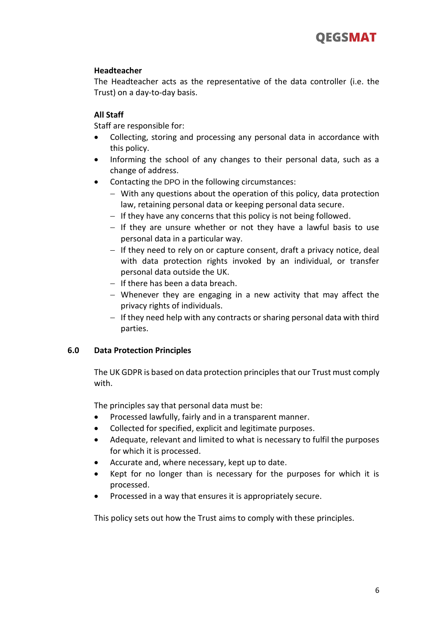#### **Headteacher**

The Headteacher acts as the representative of the data controller (i.e. the Trust) on a day-to-day basis.

### **All Staff**

Staff are responsible for:

- Collecting, storing and processing any personal data in accordance with this policy.
- Informing the school of any changes to their personal data, such as a change of address.
- Contacting the DPO in the following circumstances:
	- − With any questions about the operation of this policy, data protection law, retaining personal data or keeping personal data secure.
	- − If they have any concerns that this policy is not being followed.
	- − If they are unsure whether or not they have a lawful basis to use personal data in a particular way.
	- − If they need to rely on or capture consent, draft a privacy notice, deal with data protection rights invoked by an individual, or transfer personal data outside the UK.
	- − If there has been a data breach.
	- − Whenever they are engaging in a new activity that may affect the privacy rights of individuals.
	- − If they need help with any contracts or sharing personal data with third parties.

# **6.0 Data Protection Principles**

The UK GDPR is based on data protection principles that our Trust must comply with.

The principles say that personal data must be:

- Processed lawfully, fairly and in a transparent manner.
- Collected for specified, explicit and legitimate purposes.
- Adequate, relevant and limited to what is necessary to fulfil the purposes for which it is processed.
- Accurate and, where necessary, kept up to date.
- Kept for no longer than is necessary for the purposes for which it is processed.
- Processed in a way that ensures it is appropriately secure.

This policy sets out how the Trust aims to comply with these principles.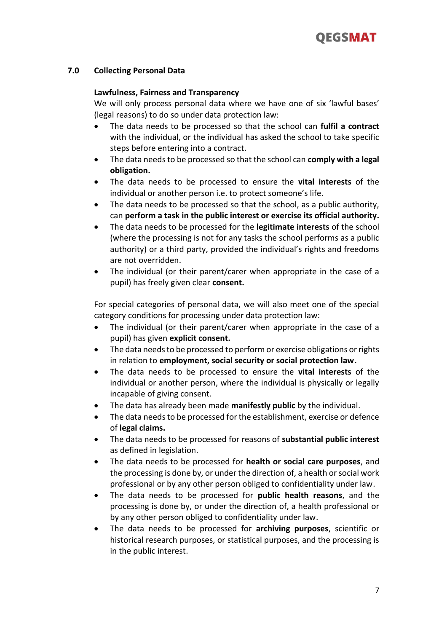

#### **7.0 Collecting Personal Data**

#### **Lawfulness, Fairness and Transparency**

We will only process personal data where we have one of six 'lawful bases' (legal reasons) to do so under data protection law:

- The data needs to be processed so that the school can **fulfil a contract** with the individual, or the individual has asked the school to take specific steps before entering into a contract.
- The data needs to be processed so that the school can **comply with a legal obligation.**
- The data needs to be processed to ensure the **vital interests** of the individual or another person i.e. to protect someone's life.
- The data needs to be processed so that the school, as a public authority, can **perform a task in the public interest or exercise its official authority.**
- The data needs to be processed for the **legitimate interests** of the school (where the processing is not for any tasks the school performs as a public authority) or a third party, provided the individual's rights and freedoms are not overridden.
- The individual (or their parent/carer when appropriate in the case of a pupil) has freely given clear **consent.**

For special categories of personal data, we will also meet one of the special category conditions for processing under data protection law:

- The individual (or their parent/carer when appropriate in the case of a pupil) has given **explicit consent.**
- The data needs to be processed to perform or exercise obligations or rights in relation to **employment, social security or social protection law.**
- The data needs to be processed to ensure the **vital interests** of the individual or another person, where the individual is physically or legally incapable of giving consent.
- The data has already been made **manifestly public** by the individual.
- The data needs to be processed for the establishment, exercise or defence of **legal claims.**
- The data needs to be processed for reasons of **substantial public interest** as defined in legislation.
- The data needs to be processed for **health or social care purposes**, and the processing is done by, or under the direction of, a health or social work professional or by any other person obliged to confidentiality under law.
- The data needs to be processed for **public health reasons**, and the processing is done by, or under the direction of, a health professional or by any other person obliged to confidentiality under law.
- The data needs to be processed for **archiving purposes**, scientific or historical research purposes, or statistical purposes, and the processing is in the public interest.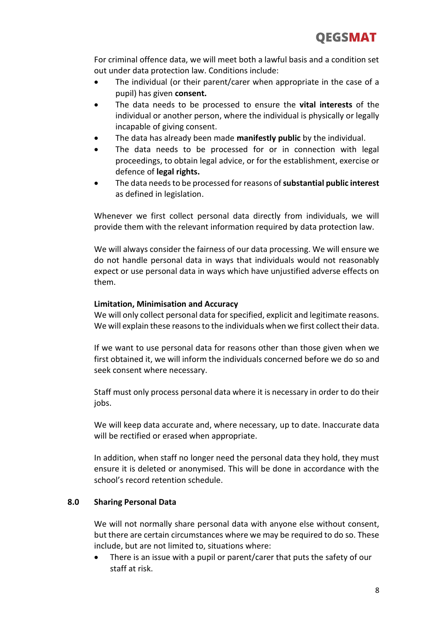For criminal offence data, we will meet both a lawful basis and a condition set out under data protection law. Conditions include:

- The individual (or their parent/carer when appropriate in the case of a pupil) has given **consent.**
- The data needs to be processed to ensure the **vital interests** of the individual or another person, where the individual is physically or legally incapable of giving consent.
- The data has already been made **manifestly public** by the individual.
- The data needs to be processed for or in connection with legal proceedings, to obtain legal advice, or for the establishment, exercise or defence of **legal rights.**
- The data needs to be processed for reasons of **substantial public interest** as defined in legislation.

Whenever we first collect personal data directly from individuals, we will provide them with the relevant information required by data protection law.

We will always consider the fairness of our data processing. We will ensure we do not handle personal data in ways that individuals would not reasonably expect or use personal data in ways which have unjustified adverse effects on them.

# **Limitation, Minimisation and Accuracy**

We will only collect personal data for specified, explicit and legitimate reasons. We will explain these reasons to the individuals when we first collect their data.

If we want to use personal data for reasons other than those given when we first obtained it, we will inform the individuals concerned before we do so and seek consent where necessary.

Staff must only process personal data where it is necessary in order to do their jobs.

We will keep data accurate and, where necessary, up to date. Inaccurate data will be rectified or erased when appropriate.

In addition, when staff no longer need the personal data they hold, they must ensure it is deleted or anonymised. This will be done in accordance with the school's record retention schedule.

# **8.0 Sharing Personal Data**

We will not normally share personal data with anyone else without consent, but there are certain circumstances where we may be required to do so. These include, but are not limited to, situations where:

There is an issue with a pupil or parent/carer that puts the safety of our staff at risk.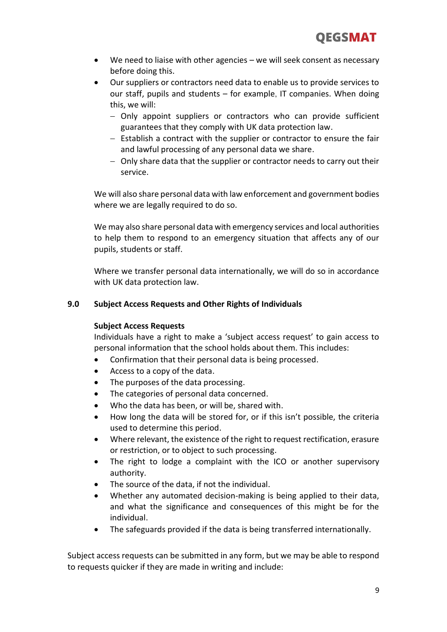- We need to liaise with other agencies we will seek consent as necessary before doing this.
- Our suppliers or contractors need data to enable us to provide services to our staff, pupils and students – for example, IT companies. When doing this, we will:
	- − Only appoint suppliers or contractors who can provide sufficient guarantees that they comply with UK data protection law.
	- − Establish a contract with the supplier or contractor to ensure the fair and lawful processing of any personal data we share.
	- − Only share data that the supplier or contractor needs to carry out their service.

We will also share personal data with law enforcement and government bodies where we are legally required to do so.

We may also share personal data with emergency services and local authorities to help them to respond to an emergency situation that affects any of our pupils, students or staff.

Where we transfer personal data internationally, we will do so in accordance with UK data protection law.

# **9.0 Subject Access Requests and Other Rights of Individuals**

#### **Subject Access Requests**

Individuals have a right to make a 'subject access request' to gain access to personal information that the school holds about them. This includes:

- Confirmation that their personal data is being processed.
- Access to a copy of the data.
- The purposes of the data processing.
- The categories of personal data concerned.
- Who the data has been, or will be, shared with.
- How long the data will be stored for, or if this isn't possible, the criteria used to determine this period.
- Where relevant, the existence of the right to request rectification, erasure or restriction, or to object to such processing.
- The right to lodge a complaint with the ICO or another supervisory authority.
- The source of the data, if not the individual.
- Whether any automated decision-making is being applied to their data, and what the significance and consequences of this might be for the individual.
- The safeguards provided if the data is being transferred internationally.

Subject access requests can be submitted in any form, but we may be able to respond to requests quicker if they are made in writing and include: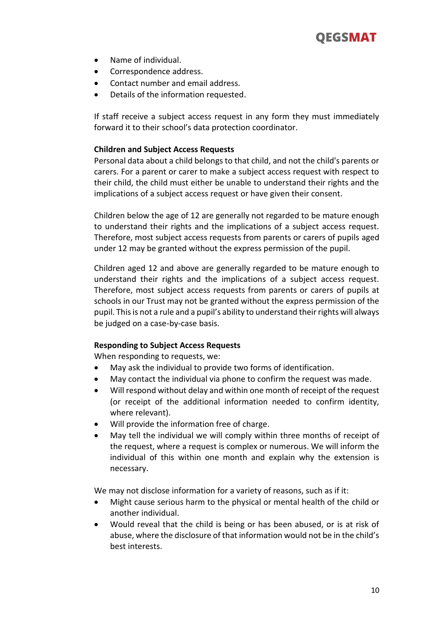

- Name of individual.
- Correspondence address.
- Contact number and email address.
- Details of the information requested.

If staff receive a subject access request in any form they must immediately forward it to their school's data protection coordinator.

#### **Children and Subject Access Requests**

Personal data about a child belongs to that child, and not the child's parents or carers. For a parent or carer to make a subject access request with respect to their child, the child must either be unable to understand their rights and the implications of a subject access request or have given their consent.

Children below the age of 12 are generally not regarded to be mature enough to understand their rights and the implications of a subject access request. Therefore, most subject access requests from parents or carers of pupils aged under 12 may be granted without the express permission of the pupil.

Children aged 12 and above are generally regarded to be mature enough to understand their rights and the implications of a subject access request. Therefore, most subject access requests from parents or carers of pupils at schools in our Trust may not be granted without the express permission of the pupil. This is not a rule and a pupil's ability to understand their rights will always be judged on a case-by-case basis.

#### **Responding to Subject Access Requests**

When responding to requests, we:

- May ask the individual to provide two forms of identification.
- May contact the individual via phone to confirm the request was made.
- Will respond without delay and within one month of receipt of the request (or receipt of the additional information needed to confirm identity, where relevant).
- Will provide the information free of charge.
- May tell the individual we will comply within three months of receipt of the request, where a request is complex or numerous. We will inform the individual of this within one month and explain why the extension is necessary.

We may not disclose information for a variety of reasons, such as if it:

- Might cause serious harm to the physical or mental health of the child or another individual.
- Would reveal that the child is being or has been abused, or is at risk of abuse, where the disclosure of that information would not be in the child's best interests.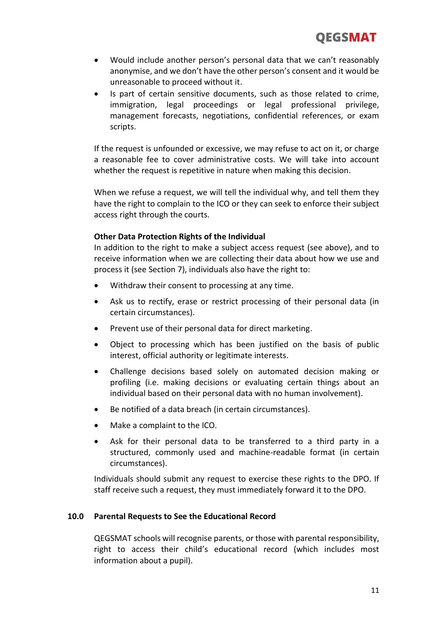- Would include another person's personal data that we can't reasonably anonymise, and we don't have the other person's consent and it would be unreasonable to proceed without it.
- Is part of certain sensitive documents, such as those related to crime, immigration, legal proceedings or legal professional privilege, management forecasts, negotiations, confidential references, or exam scripts.

If the request is unfounded or excessive, we may refuse to act on it, or charge a reasonable fee to cover administrative costs. We will take into account whether the request is repetitive in nature when making this decision.

When we refuse a request, we will tell the individual why, and tell them they have the right to complain to the ICO or they can seek to enforce their subject access right through the courts.

#### **Other Data Protection Rights of the Individual**

In addition to the right to make a subject access request (see above), and to receive information when we are collecting their data about how we use and process it (see Section 7), individuals also have the right to:

- Withdraw their consent to processing at any time.
- Ask us to rectify, erase or restrict processing of their personal data (in certain circumstances).
- Prevent use of their personal data for direct marketing.
- Object to processing which has been justified on the basis of public interest, official authority or legitimate interests.
- Challenge decisions based solely on automated decision making or profiling (i.e. making decisions or evaluating certain things about an individual based on their personal data with no human involvement).
- Be notified of a data breach (in certain circumstances).
- Make a complaint to the ICO.
- Ask for their personal data to be transferred to a third party in a structured, commonly used and machine-readable format (in certain circumstances).

Individuals should submit any request to exercise these rights to the DPO. If staff receive such a request, they must immediately forward it to the DPO.

#### **10.0 Parental Requests to See the Educational Record**

QEGSMAT schools will recognise parents, or those with parental responsibility, right to access their child's educational record (which includes most information about a pupil).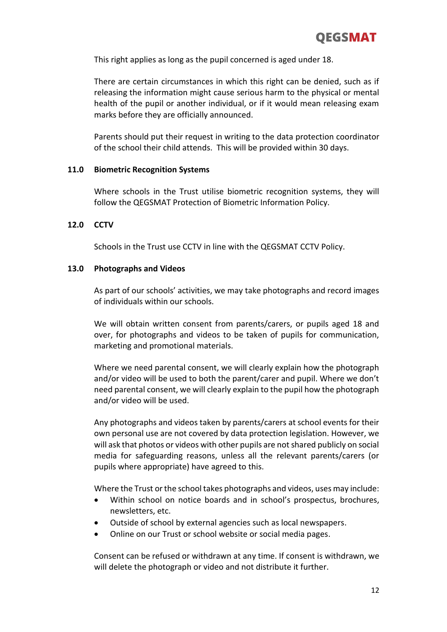This right applies as long as the pupil concerned is aged under 18.

There are certain circumstances in which this right can be denied, such as if releasing the information might cause serious harm to the physical or mental health of the pupil or another individual, or if it would mean releasing exam marks before they are officially announced.

Parents should put their request in writing to the data protection coordinator of the school their child attends. This will be provided within 30 days.

#### **11.0 Biometric Recognition Systems**

Where schools in the Trust utilise biometric recognition systems, they will follow the QEGSMAT Protection of Biometric Information Policy.

#### **12.0 CCTV**

Schools in the Trust use CCTV in line with the QEGSMAT CCTV Policy.

#### **13.0 Photographs and Videos**

As part of our schools' activities, we may take photographs and record images of individuals within our schools.

We will obtain written consent from parents/carers, or pupils aged 18 and over, for photographs and videos to be taken of pupils for communication, marketing and promotional materials.

Where we need parental consent, we will clearly explain how the photograph and/or video will be used to both the parent/carer and pupil. Where we don't need parental consent, we will clearly explain to the pupil how the photograph and/or video will be used.

Any photographs and videos taken by parents/carers at school events for their own personal use are not covered by data protection legislation. However, we will ask that photos or videos with other pupils are not shared publicly on social media for safeguarding reasons, unless all the relevant parents/carers (or pupils where appropriate) have agreed to this.

Where the Trust or the school takes photographs and videos, uses may include:

- Within school on notice boards and in school's prospectus, brochures, newsletters, etc.
- Outside of school by external agencies such as local newspapers.
- Online on our Trust or school website or social media pages.

Consent can be refused or withdrawn at any time. If consent is withdrawn, we will delete the photograph or video and not distribute it further.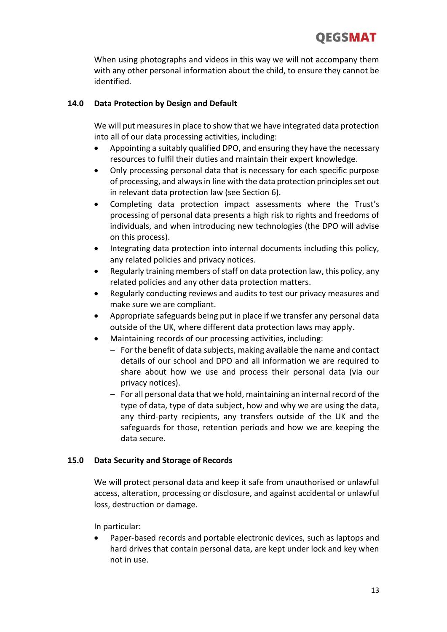When using photographs and videos in this way we will not accompany them with any other personal information about the child, to ensure they cannot be identified.

# **14.0 Data Protection by Design and Default**

We will put measures in place to show that we have integrated data protection into all of our data processing activities, including:

- Appointing a suitably qualified DPO, and ensuring they have the necessary resources to fulfil their duties and maintain their expert knowledge.
- Only processing personal data that is necessary for each specific purpose of processing, and always in line with the data protection principles set out in relevant data protection law (see Section 6).
- Completing data protection impact assessments where the Trust's processing of personal data presents a high risk to rights and freedoms of individuals, and when introducing new technologies (the DPO will advise on this process).
- Integrating data protection into internal documents including this policy, any related policies and privacy notices.
- Regularly training members of staff on data protection law, this policy, any related policies and any other data protection matters.
- Regularly conducting reviews and audits to test our privacy measures and make sure we are compliant.
- Appropriate safeguards being put in place if we transfer any personal data outside of the UK, where different data protection laws may apply.
- Maintaining records of our processing activities, including:
	- − For the benefit of data subjects, making available the name and contact details of our school and DPO and all information we are required to share about how we use and process their personal data (via our privacy notices).
	- − For all personal data that we hold, maintaining an internal record of the type of data, type of data subject, how and why we are using the data, any third-party recipients, any transfers outside of the UK and the safeguards for those, retention periods and how we are keeping the data secure.

# **15.0 Data Security and Storage of Records**

We will protect personal data and keep it safe from unauthorised or unlawful access, alteration, processing or disclosure, and against accidental or unlawful loss, destruction or damage.

In particular:

• Paper-based records and portable electronic devices, such as laptops and hard drives that contain personal data, are kept under lock and key when not in use.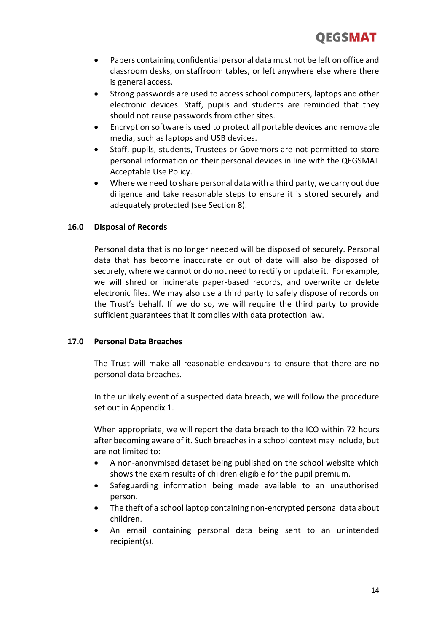- Papers containing confidential personal data must not be left on office and classroom desks, on staffroom tables, or left anywhere else where there is general access.
- Strong passwords are used to access school computers, laptops and other electronic devices. Staff, pupils and students are reminded that they should not reuse passwords from other sites.
- Encryption software is used to protect all portable devices and removable media, such as laptops and USB devices.
- Staff, pupils, students, Trustees or Governors are not permitted to store personal information on their personal devices in line with the QEGSMAT Acceptable Use Policy.
- Where we need to share personal data with a third party, we carry out due diligence and take reasonable steps to ensure it is stored securely and adequately protected (see Section 8).

#### **16.0 Disposal of Records**

Personal data that is no longer needed will be disposed of securely. Personal data that has become inaccurate or out of date will also be disposed of securely, where we cannot or do not need to rectify or update it. For example, we will shred or incinerate paper-based records, and overwrite or delete electronic files. We may also use a third party to safely dispose of records on the Trust's behalf. If we do so, we will require the third party to provide sufficient guarantees that it complies with data protection law.

#### **17.0 Personal Data Breaches**

The Trust will make all reasonable endeavours to ensure that there are no personal data breaches.

In the unlikely event of a suspected data breach, we will follow the procedure set out in Appendix 1.

When appropriate, we will report the data breach to the ICO within 72 hours after becoming aware of it. Such breaches in a school context may include, but are not limited to:

- A non-anonymised dataset being published on the school website which shows the exam results of children eligible for the pupil premium.
- Safeguarding information being made available to an unauthorised person.
- The theft of a school laptop containing non-encrypted personal data about children.
- An email containing personal data being sent to an unintended recipient(s).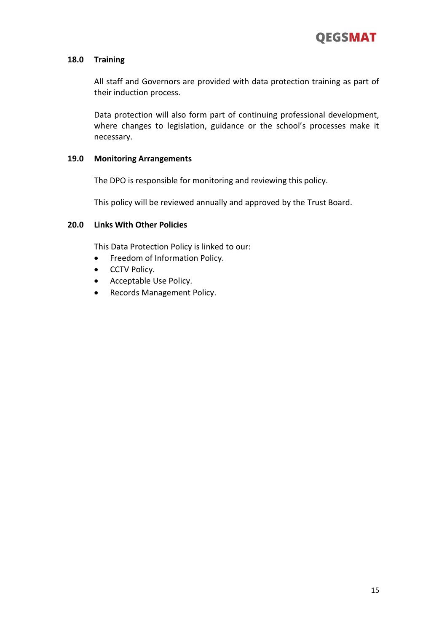#### **18.0 Training**

All staff and Governors are provided with data protection training as part of their induction process.

Data protection will also form part of continuing professional development, where changes to legislation, guidance or the school's processes make it necessary.

#### **19.0 Monitoring Arrangements**

The DPO is responsible for monitoring and reviewing this policy.

This policy will be reviewed annually and approved by the Trust Board.

#### **20.0 Links With Other Policies**

This Data Protection Policy is linked to our:

- Freedom of Information Policy.
- CCTV Policy.
- Acceptable Use Policy.
- Records Management Policy.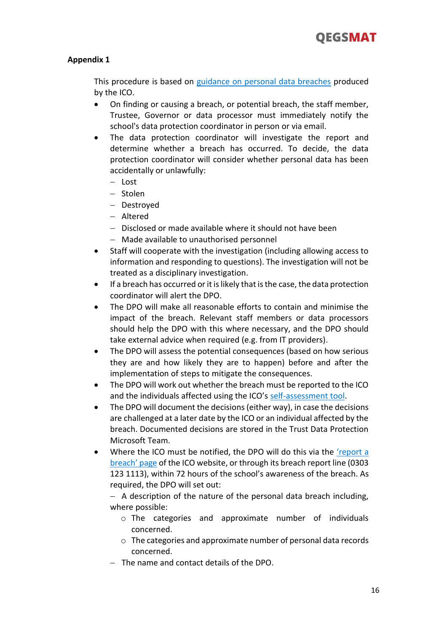# **Appendix 1**

This procedure is based on [guidance on personal data breaches](https://ico.org.uk/for-organisations/guide-to-the-general-data-protection-regulation-gdpr/personal-data-breaches/) produced by the ICO.

- On finding or causing a breach, or potential breach, the staff member, Trustee, Governor or data processor must immediately notify the school's data protection coordinator in person or via email.
- The data protection coordinator will investigate the report and determine whether a breach has occurred. To decide, the data protection coordinator will consider whether personal data has been accidentally or unlawfully:
	- − Lost
	- − Stolen
	- − Destroyed
	- − Altered
	- − Disclosed or made available where it should not have been
	- − Made available to unauthorised personnel
- Staff will cooperate with the investigation (including allowing access to information and responding to questions). The investigation will not be treated as a disciplinary investigation.
- If a breach has occurred or it is likely that is the case, the data protection coordinator will alert the DPO.
- The DPO will make all reasonable efforts to contain and minimise the impact of the breach. Relevant staff members or data processors should help the DPO with this where necessary, and the DPO should take external advice when required (e.g. from IT providers).
- The DPO will assess the potential consequences (based on how serious they are and how likely they are to happen) before and after the implementation of steps to mitigate the consequences.
- The DPO will work out whether the breach must be reported to the ICO and the individuals affected using the ICO's [self-assessment tool.](https://ico.org.uk/for-organisations/report-a-breach/personal-data-breach-assessment/)
- The DPO will document the decisions (either way), in case the decisions are challenged at a later date by the ICO or an individual affected by the breach. Documented decisions are stored in the Trust Data Protection Microsoft Team.
- Where the ICO must be notified, the DPO will do this via the 'report a [breach' page](https://ico.org.uk/for-organisations/report-a-breach/) of the ICO website, or through its breach report line (0303 123 1113), within 72 hours of the school's awareness of the breach. As required, the DPO will set out:

− A description of the nature of the personal data breach including, where possible:

- o The categories and approximate number of individuals concerned.
- o The categories and approximate number of personal data records concerned.
- − The name and contact details of the DPO.